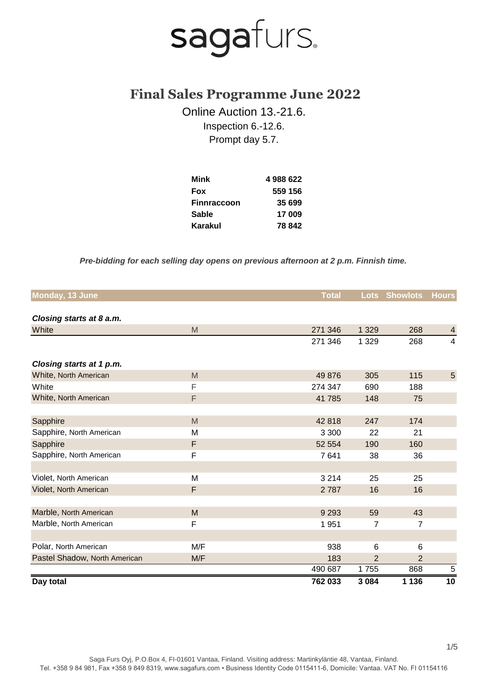#### **Final Sales Programme June 2022**

Online Auction 13.-21.6. Inspection 6.-12.6. Prompt day 5.7.

| Mink               | 4988622 |
|--------------------|---------|
| <b>Fox</b>         | 559 156 |
| <b>Finnraccoon</b> | 35 699  |
| <b>Sable</b>       | 17 009  |
| Karakul            | 78 842  |
|                    |         |

*Pre-bidding for each selling day opens on previous afternoon at 2 p.m. Finnish time.*

| Monday, 13 June               |     | <b>Total</b> |                | Lots Showlots  | <b>Hours</b>   |
|-------------------------------|-----|--------------|----------------|----------------|----------------|
|                               |     |              |                |                |                |
| Closing starts at 8 a.m.      |     |              |                |                |                |
| White                         | M   | 271 346      | 1 3 2 9        | 268            | $\overline{4}$ |
|                               |     | 271 346      | 1 3 2 9        | 268            | $\overline{4}$ |
| Closing starts at 1 p.m.      |     |              |                |                |                |
|                               |     |              |                |                |                |
| White, North American         | M   | 49 876       | 305            | 115            | $\overline{5}$ |
| White                         | F   | 274 347      | 690            | 188            |                |
| White, North American         | F   | 41 785       | 148            | 75             |                |
|                               |     |              |                |                |                |
| Sapphire                      | M   | 42818        | 247            | 174            |                |
| Sapphire, North American      | M   | 3 3 0 0      | 22             | 21             |                |
| Sapphire                      | F   | 52 554       | 190            | 160            |                |
| Sapphire, North American      | F   | 7641         | 38             | 36             |                |
|                               |     |              |                |                |                |
| Violet, North American        | M   | 3 2 1 4      | 25             | 25             |                |
| Violet, North American        | F   | 2787         | 16             | 16             |                |
|                               |     |              |                |                |                |
| Marble, North American        | M   | 9 2 9 3      | 59             | 43             |                |
| Marble, North American        | F   | 1951         | 7              | 7              |                |
|                               |     |              |                |                |                |
| Polar, North American         | M/F | 938          | 6              | 6              |                |
| Pastel Shadow, North American | M/F | 183          | $\overline{2}$ | $\overline{2}$ |                |
|                               |     | 490 687      | 1755           | 868            | $\,$ 5 $\,$    |
| Day total                     |     | 762 033      | 3 0 8 4        | 1 1 3 6        | 10             |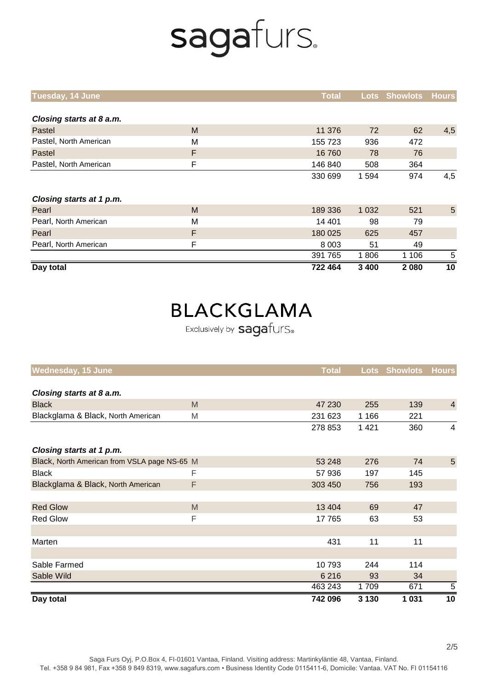| Day total                |   | 722 464      | 3 4 0 0 | 2 0 8 0               | 10  |
|--------------------------|---|--------------|---------|-----------------------|-----|
|                          |   | 391 765      | 1806    | 1 1 0 6               | 5   |
| Pearl, North American    | F | 8 0 0 3      | 51      | 49                    |     |
| Pearl                    | F | 180 025      | 625     | 457                   |     |
| Pearl, North American    | M | 14 4 01      | 98      | 79                    |     |
| Pearl                    | M | 189 336      | 1 0 3 2 | 521                   | 5   |
| Closing starts at 1 p.m. |   |              |         |                       |     |
|                          |   | 330 699      | 1 5 9 4 | 974                   | 4,5 |
| Pastel, North American   | F | 146 840      | 508     | 364                   |     |
| Pastel                   | F | 16 760       | 78      | 76                    |     |
| Pastel, North American   | M | 155 723      | 936     | 472                   |     |
| Pastel                   | M | 11 376       | 72      | 62                    | 4,5 |
| Closing starts at 8 a.m. |   |              |         |                       |     |
| Tuesday, 14 June         |   | <b>Total</b> | Lots    | <b>Showlots Hours</b> |     |
|                          |   |              |         |                       |     |

### **BLACKGLAMA**

Exclusively by  $s$ aga $f$ UIS.

| Day total                                    |   | 742 096      | 3 1 3 0 | 1 0 3 1              | 10             |
|----------------------------------------------|---|--------------|---------|----------------------|----------------|
|                                              |   | 463 243      | 1709    | 671                  | 5              |
| Sable Wild                                   |   | 6 2 1 6      | 93      | 34                   |                |
| Sable Farmed                                 |   | 10793        | 244     | 114                  |                |
|                                              |   |              |         |                      |                |
| Marten                                       |   | 431          | 11      | 11                   |                |
|                                              |   |              |         |                      |                |
| <b>Red Glow</b>                              | F | 17765        | 63      | 53                   |                |
| <b>Red Glow</b>                              | M | 13 4 04      | 69      | 47                   |                |
|                                              |   |              |         |                      |                |
| Blackglama & Black, North American           | F | 303 450      | 756     | 193                  |                |
| <b>Black</b>                                 | F | 57 936       | 197     | 145                  |                |
| Black, North American from VSLA page NS-65 M |   | 53 248       | 276     | 74                   | 5              |
| Closing starts at 1 p.m.                     |   |              |         |                      |                |
|                                              |   | 278 853      | 1 4 2 1 | 360                  | $\overline{4}$ |
| Blackglama & Black, North American           | M | 231 623      | 1 1 6 6 | 221                  |                |
| <b>Black</b>                                 | M | 47 230       | 255     | 139                  | $\overline{4}$ |
| Closing starts at 8 a.m.                     |   |              |         |                      |                |
|                                              |   |              |         |                      |                |
| <b>Wednesday, 15 June</b>                    |   | <b>Total</b> |         | <b>Lots Showlots</b> | <b>Hours</b>   |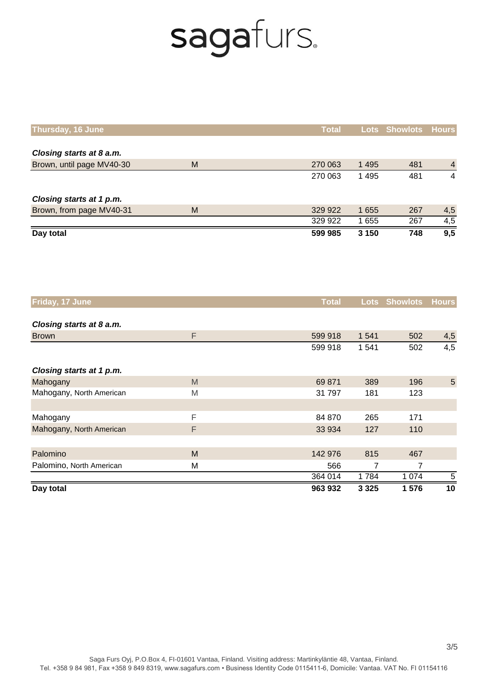| Thursday, 16 June         |   | <b>Total</b> |         | Lots Showlots Hours |                |
|---------------------------|---|--------------|---------|---------------------|----------------|
|                           |   |              |         |                     |                |
| Closing starts at 8 a.m.  |   |              |         |                     |                |
| Brown, until page MV40-30 | M | 270 063      | 1 4 9 5 | 481                 | $\overline{4}$ |
|                           |   | 270 063      | 1495    | 481                 | $\overline{4}$ |
|                           |   |              |         |                     |                |
| Closing starts at 1 p.m.  |   |              |         |                     |                |
| Brown, from page MV40-31  | M | 329 922      | 1655    | 267                 | 4,5            |
|                           |   | 329 922      | 1 655   | 267                 | 4,5            |
| Day total                 |   | 599 985      | 3 150   | 748                 | 9,5            |

| Friday, 17 June          |   | <b>Total</b> |         | <b>Lots Showlots</b> | <b>Hours</b> |
|--------------------------|---|--------------|---------|----------------------|--------------|
|                          |   |              |         |                      |              |
| Closing starts at 8 a.m. |   |              |         |                      |              |
| <b>Brown</b>             | F | 599 918      | 1 5 4 1 | 502                  | 4,5          |
|                          |   | 599 918      | 1 541   | 502                  | 4,5          |
|                          |   |              |         |                      |              |
| Closing starts at 1 p.m. |   |              |         |                      |              |
| Mahogany                 | M | 69 871       | 389     | 196                  | $\sqrt{5}$   |
| Mahogany, North American | M | 31 797       | 181     | 123                  |              |
|                          |   |              |         |                      |              |
| Mahogany                 | F | 84 870       | 265     | 171                  |              |
| Mahogany, North American | F | 33 934       | 127     | 110                  |              |
|                          |   |              |         |                      |              |
| Palomino                 | M | 142 976      | 815     | 467                  |              |
| Palomino, North American | M | 566          | 7       | 7                    |              |
|                          |   | 364 014      | 1784    | 1 0 7 4              | 5            |
| Day total                |   | 963 932      | 3 3 2 5 | 1576                 | 10           |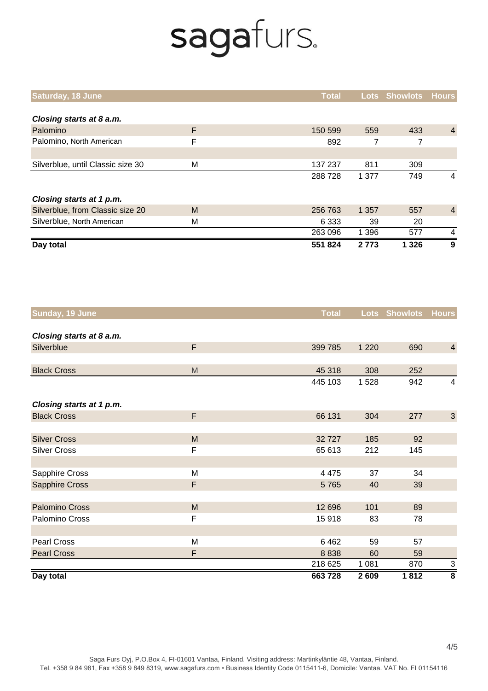| <b>Saturday, 18 June</b>          |   | <b>Total</b> |         | <b>Lots Showlots Hours</b> |                |
|-----------------------------------|---|--------------|---------|----------------------------|----------------|
|                                   |   |              |         |                            |                |
| Closing starts at 8 a.m.          |   |              |         |                            |                |
| Palomino                          | F | 150 599      | 559     | 433                        | $\overline{4}$ |
| Palomino, North American          | F | 892          | 7       | 7                          |                |
|                                   |   |              |         |                            |                |
| Silverblue, until Classic size 30 | M | 137 237      | 811     | 309                        |                |
|                                   |   | 288728       | 1 377   | 749                        | 4              |
|                                   |   |              |         |                            |                |
| Closing starts at 1 p.m.          |   |              |         |                            |                |
| Silverblue, from Classic size 20  | M | 256 763      | 1 3 5 7 | 557                        | $\overline{4}$ |
| Silverblue, North American        | M | 6 3 3 3      | 39      | 20                         |                |
|                                   |   | 263 096      | 1 3 9 6 | 577                        | 4              |
| Day total                         |   | 551 824      | 2 7 7 3 | 1 3 2 6                    | 9              |

| Sunday, 19 June          |   | <b>Total</b> | <b>Lots</b> | <b>Showlots</b> | <b>Hours</b>            |
|--------------------------|---|--------------|-------------|-----------------|-------------------------|
|                          |   |              |             |                 |                         |
| Closing starts at 8 a.m. |   |              |             |                 |                         |
| Silverblue               | F | 399 785      | 1 2 2 0     | 690             | $\overline{4}$          |
|                          |   |              |             |                 |                         |
| <b>Black Cross</b>       | M | 45 318       | 308         | 252             |                         |
|                          |   | 445 103      | 1 5 2 8     | 942             | $\overline{\mathbf{4}}$ |
|                          |   |              |             |                 |                         |
| Closing starts at 1 p.m. |   |              |             |                 |                         |
| <b>Black Cross</b>       | F | 66 131       | 304         | 277             | $\mathfrak{S}$          |
|                          |   |              |             |                 |                         |
| <b>Silver Cross</b>      | M | 32727        | 185         | 92              |                         |
| <b>Silver Cross</b>      | F | 65 613       | 212         | 145             |                         |
|                          |   |              |             |                 |                         |
| Sapphire Cross           | M | 4 4 7 5      | 37          | 34              |                         |
| <b>Sapphire Cross</b>    | F | 5765         | 40          | 39              |                         |
|                          |   |              |             |                 |                         |
| Palomino Cross           | M | 12 696       | 101         | 89              |                         |
| Palomino Cross           | F | 15918        | 83          | 78              |                         |
|                          |   |              |             |                 |                         |
| <b>Pearl Cross</b>       | M | 6462         | 59          | 57              |                         |
| <b>Pearl Cross</b>       | F | 8838         | 60          | 59              |                         |
|                          |   | 218 625      | 1 0 8 1     | 870             | $\sqrt{3}$              |
| Day total                |   | 663728       | 2 609       | 1812            | $\overline{\mathbf{8}}$ |